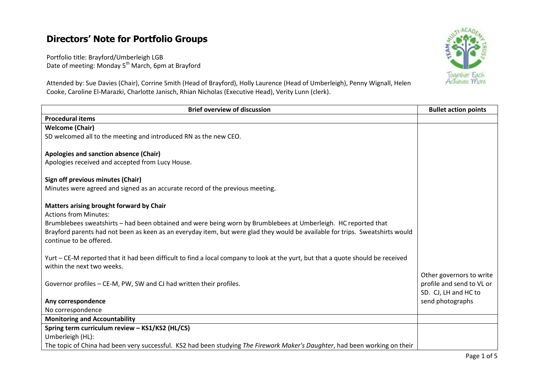## **Directors' Note for Portfolio Groups**

Portfolio title: Brayford/Umberleigh LGB Date of meeting: Monday 5<sup>th</sup> March, 6pm at Brayford



Attended by: Sue Davies (Chair), Corrine Smith (Head of Brayford), Holly Laurence (Head of Umberleigh), Penny Wignall, Helen Cooke, Caroline El-Marazki, Charlotte Janisch, Rhian Nicholas (Executive Head), Verity Lunn (clerk).

| <b>Brief overview of discussion</b>                                                                                              | <b>Bullet action points</b> |
|----------------------------------------------------------------------------------------------------------------------------------|-----------------------------|
| <b>Procedural items</b>                                                                                                          |                             |
| <b>Welcome (Chair)</b>                                                                                                           |                             |
| SD welcomed all to the meeting and introduced RN as the new CEO.                                                                 |                             |
|                                                                                                                                  |                             |
| Apologies and sanction absence (Chair)                                                                                           |                             |
| Apologies received and accepted from Lucy House.                                                                                 |                             |
|                                                                                                                                  |                             |
| Sign off previous minutes (Chair)                                                                                                |                             |
| Minutes were agreed and signed as an accurate record of the previous meeting.                                                    |                             |
| Matters arising brought forward by Chair                                                                                         |                             |
| <b>Actions from Minutes:</b>                                                                                                     |                             |
| Brumblebees sweatshirts - had been obtained and were being worn by Brumblebees at Umberleigh. HC reported that                   |                             |
| Brayford parents had not been as keen as an everyday item, but were glad they would be available for trips. Sweatshirts would    |                             |
| continue to be offered.                                                                                                          |                             |
|                                                                                                                                  |                             |
| Yurt – CE-M reported that it had been difficult to find a local company to look at the yurt, but that a quote should be received |                             |
| within the next two weeks.                                                                                                       |                             |
|                                                                                                                                  | Other governors to write    |
| Governor profiles – CE-M, PW, SW and CJ had written their profiles.                                                              | profile and send to VL or   |
|                                                                                                                                  | SD. CJ, LH and HC to        |
| Any correspondence                                                                                                               | send photographs            |
| No correspondence                                                                                                                |                             |
| <b>Monitoring and Accountability</b>                                                                                             |                             |
| Spring term curriculum review - KS1/KS2 (HL/CS)                                                                                  |                             |
| Umberleigh (HL):                                                                                                                 |                             |
| The topic of China had been very successful. KS2 had been studying The Firework Maker's Daughter, had been working on their      |                             |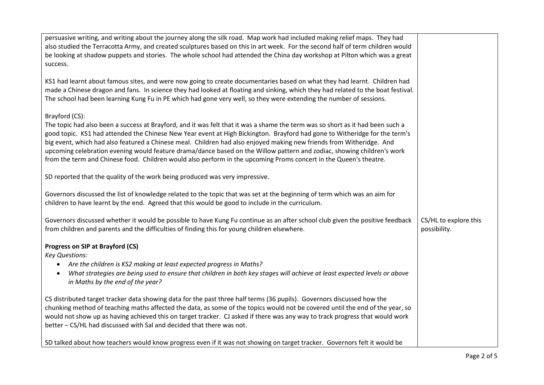| persuasive writing, and writing about the journey along the silk road. Map work had included making relief maps. They had             |                       |
|---------------------------------------------------------------------------------------------------------------------------------------|-----------------------|
| also studied the Terracotta Army, and created sculptures based on this in art week. For the second half of term children would        |                       |
| be looking at shadow puppets and stories. The whole school had attended the China day workshop at Pilton which was a great            |                       |
| success.                                                                                                                              |                       |
|                                                                                                                                       |                       |
| KS1 had learnt about famous sites, and were now going to create documentaries based on what they had learnt. Children had             |                       |
| made a Chinese dragon and fans. In science they had looked at floating and sinking, which they had related to the boat festival.      |                       |
|                                                                                                                                       |                       |
| The school had been learning Kung Fu in PE which had gone very well, so they were extending the number of sessions.                   |                       |
|                                                                                                                                       |                       |
| Brayford (CS):                                                                                                                        |                       |
| The topic had also been a success at Brayford, and it was felt that it was a shame the term was so short as it had been such a        |                       |
| good topic. KS1 had attended the Chinese New Year event at High Bickington. Brayford had gone to Witheridge for the term's            |                       |
| big event, which had also featured a Chinese meal. Children had also enjoyed making new friends from Witheridge. And                  |                       |
| upcoming celebration evening would feature drama/dance based on the Willow pattern and zodiac, showing children's work                |                       |
|                                                                                                                                       |                       |
| from the term and Chinese food. Children would also perform in the upcoming Proms concert in the Queen's theatre.                     |                       |
|                                                                                                                                       |                       |
| SD reported that the quality of the work being produced was very impressive.                                                          |                       |
|                                                                                                                                       |                       |
| Governors discussed the list of knowledge related to the topic that was set at the beginning of term which was an aim for             |                       |
| children to have learnt by the end. Agreed that this would be good to include in the curriculum.                                      |                       |
|                                                                                                                                       |                       |
| Governors discussed whether it would be possible to have Kung Fu continue as an after school club given the positive feedback         | CS/HL to explore this |
| from children and parents and the difficulties of finding this for young children elsewhere.                                          | possibility.          |
|                                                                                                                                       |                       |
|                                                                                                                                       |                       |
| Progress on SIP at Brayford (CS)                                                                                                      |                       |
| <b>Key Questions:</b>                                                                                                                 |                       |
| Are the children is KS2 making at least expected progress in Maths?                                                                   |                       |
| What strategies are being used to ensure that children in both key stages will achieve at least expected levels or above<br>$\bullet$ |                       |
| in Maths by the end of the year?                                                                                                      |                       |
|                                                                                                                                       |                       |
| CS distributed target tracker data showing data for the past three half terms (36 pupils). Governors discussed how the                |                       |
| chunking method of teaching maths affected the data, as some of the topics would not be covered until the end of the year, so         |                       |
|                                                                                                                                       |                       |
| would not show up as having achieved this on target tracker. CJ asked if there was any way to track progress that would work          |                       |
| better - CS/HL had discussed with Sal and decided that there was not.                                                                 |                       |
|                                                                                                                                       |                       |
| SD talked about how teachers would know progress even if it was not showing on target tracker. Governors felt it would be             |                       |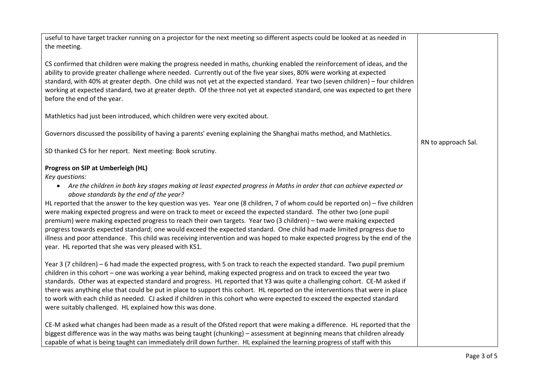| useful to have target tracker running on a projector for the next meeting so different aspects could be looked at as needed in<br>the meeting.                                                                                                                                                                                                                                                                                                                                                                                                                                                                                                                                                                                                                                                                                                                                                                             |                     |
|----------------------------------------------------------------------------------------------------------------------------------------------------------------------------------------------------------------------------------------------------------------------------------------------------------------------------------------------------------------------------------------------------------------------------------------------------------------------------------------------------------------------------------------------------------------------------------------------------------------------------------------------------------------------------------------------------------------------------------------------------------------------------------------------------------------------------------------------------------------------------------------------------------------------------|---------------------|
| CS confirmed that children were making the progress needed in maths, chunking enabled the reinforcement of ideas, and the<br>ability to provide greater challenge where needed. Currently out of the five year sixes, 80% were working at expected<br>standard, with 40% at greater depth. One child was not yet at the expected standard. Year two (seven children) - four children<br>working at expected standard, two at greater depth. Of the three not yet at expected standard, one was expected to get there<br>before the end of the year.                                                                                                                                                                                                                                                                                                                                                                        |                     |
| Mathletics had just been introduced, which children were very excited about.                                                                                                                                                                                                                                                                                                                                                                                                                                                                                                                                                                                                                                                                                                                                                                                                                                               |                     |
| Governors discussed the possibility of having a parents' evening explaining the Shanghai maths method, and Mathletics.                                                                                                                                                                                                                                                                                                                                                                                                                                                                                                                                                                                                                                                                                                                                                                                                     | RN to approach Sal. |
| SD thanked CS for her report. Next meeting: Book scrutiny.                                                                                                                                                                                                                                                                                                                                                                                                                                                                                                                                                                                                                                                                                                                                                                                                                                                                 |                     |
| Progress on SIP at Umberleigh (HL)<br>Key questions:<br>• Are the children in both key stages making at least expected progress in Maths in order that can achieve expected or<br>above standards by the end of the year?<br>HL reported that the answer to the key question was yes. Year one (8 children, 7 of whom could be reported on) – five children<br>were making expected progress and were on track to meet or exceed the expected standard. The other two (one pupil<br>premium) were making expected progress to reach their own targets. Year two (3 children) - two were making expected<br>progress towards expected standard; one would exceed the expected standard. One child had made limited progress due to<br>illness and poor attendance. This child was receiving intervention and was hoped to make expected progress by the end of the<br>year. HL reported that she was very pleased with KS1. |                     |
| Year 3 (7 children) - 6 had made the expected progress, with 5 on track to reach the expected standard. Two pupil premium<br>children in this cohort – one was working a year behind, making expected progress and on track to exceed the year two<br>standards. Other was at expected standard and progress. HL reported that Y3 was quite a challenging cohort. CE-M asked if<br>there was anything else that could be put in place to support this cohort. HL reported on the interventions that were in place<br>to work with each child as needed. CJ asked if children in this cohort who were expected to exceed the expected standard<br>were suitably challenged. HL explained how this was done.                                                                                                                                                                                                                 |                     |
| CE-M asked what changes had been made as a result of the Ofsted report that were making a difference. HL reported that the<br>biggest difference was in the way maths was being taught (chunking) – assessment at beginning means that children already<br>capable of what is being taught can immediately drill down further. HL explained the learning progress of staff with this                                                                                                                                                                                                                                                                                                                                                                                                                                                                                                                                       |                     |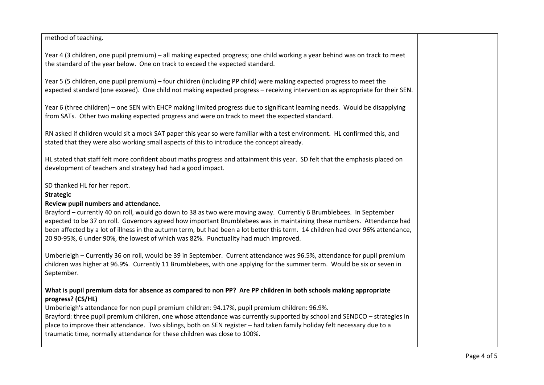| method of teaching.                                                                                                                                                                                                                                                                                                                                                                                                                                                                                                                                                           |  |
|-------------------------------------------------------------------------------------------------------------------------------------------------------------------------------------------------------------------------------------------------------------------------------------------------------------------------------------------------------------------------------------------------------------------------------------------------------------------------------------------------------------------------------------------------------------------------------|--|
| Year 4 (3 children, one pupil premium) - all making expected progress; one child working a year behind was on track to meet<br>the standard of the year below. One on track to exceed the expected standard.                                                                                                                                                                                                                                                                                                                                                                  |  |
| Year 5 (5 children, one pupil premium) – four children (including PP child) were making expected progress to meet the<br>expected standard (one exceed). One child not making expected progress - receiving intervention as appropriate for their SEN.                                                                                                                                                                                                                                                                                                                        |  |
| Year 6 (three children) – one SEN with EHCP making limited progress due to significant learning needs. Would be disapplying<br>from SATs. Other two making expected progress and were on track to meet the expected standard.                                                                                                                                                                                                                                                                                                                                                 |  |
| RN asked if children would sit a mock SAT paper this year so were familiar with a test environment. HL confirmed this, and<br>stated that they were also working small aspects of this to introduce the concept already.                                                                                                                                                                                                                                                                                                                                                      |  |
| HL stated that staff felt more confident about maths progress and attainment this year. SD felt that the emphasis placed on<br>development of teachers and strategy had had a good impact.                                                                                                                                                                                                                                                                                                                                                                                    |  |
| SD thanked HL for her report.                                                                                                                                                                                                                                                                                                                                                                                                                                                                                                                                                 |  |
| <b>Strategic</b>                                                                                                                                                                                                                                                                                                                                                                                                                                                                                                                                                              |  |
| Review pupil numbers and attendance.<br>Brayford - currently 40 on roll, would go down to 38 as two were moving away. Currently 6 Brumblebees. In September<br>expected to be 37 on roll. Governors agreed how important Brumblebees was in maintaining these numbers. Attendance had<br>been affected by a lot of illness in the autumn term, but had been a lot better this term. 14 children had over 96% attendance,<br>20 90-95%, 6 under 90%, the lowest of which was 82%. Punctuality had much improved.                                                               |  |
| Umberleigh - Currently 36 on roll, would be 39 in September. Current attendance was 96.5%, attendance for pupil premium<br>children was higher at 96.9%. Currently 11 Brumblebees, with one applying for the summer term. Would be six or seven in<br>September.                                                                                                                                                                                                                                                                                                              |  |
| What is pupil premium data for absence as compared to non PP? Are PP children in both schools making appropriate<br>progress? (CS/HL)<br>Umberleigh's attendance for non pupil premium children: 94.17%, pupil premium children: 96.9%.<br>Brayford: three pupil premium children, one whose attendance was currently supported by school and SENDCO - strategies in<br>place to improve their attendance. Two siblings, both on SEN register - had taken family holiday felt necessary due to a<br>traumatic time, normally attendance for these children was close to 100%. |  |